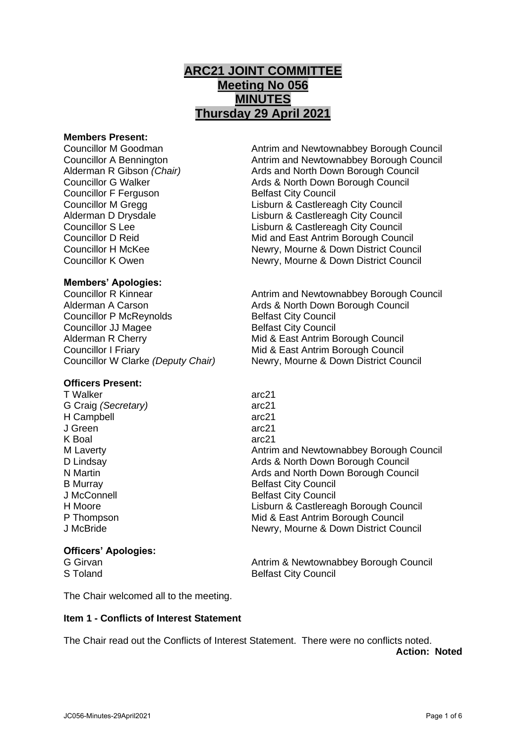# **ARC21 JOINT COMMITTEE Meeting No 056 MINUTES Thursday 29 April 2021**

#### **Members Present:**

**Councillor F Ferguson** Belfast City Council

Councillor M Goodman Antrim and Newtownabbey Borough Council Councillor A Bennington **Antrim and Newtownabbey Borough Council** Alderman R Gibson *(Chair)* Ards and North Down Borough Council Councillor G Walker **Ards & North Down Borough Council** Councillor M Gregg Lisburn & Castlereagh City Council Alderman D Drysdale Lisburn & Castlereagh City Council Councillor S Lee Lisburn & Castlereagh City Council Councillor D Reid Mid and East Antrim Borough Council Councillor H McKee Newry, Mourne & Down District Council Councillor K Owen Newry, Mourne & Down District Council

## **Members' Apologies:**

Councillor P McReynolds Belfast City Council **Councillor JJ Magee Belfast City Council** Alderman R Cherry **Mid & East Antrim Borough Council** Councillor I Friary Mid & East Antrim Borough Council

# **Officers Present:**

T Walker arc21 G Craig *(Secretary)* arc21 H Campbell arc21 J Green arc21 K Boal arc21<br>
M Laverty and the contract of the contract arc21

#### **Officers' Apologies:**

Councillor R Kinnear **Antrim and Newtownabbey Borough Council** Alderman A Carson Ards & North Down Borough Council Councillor W Clarke *(Deputy Chair)* Newry, Mourne & Down District Council

Antrim and Newtownabbey Borough Council D Lindsay **Ards & North Down Borough Council** Pulled Britain Ards & North Down Borough Council N Martin **Ards and North Down Borough Council** B Murray Belfast City Council J McConnell **Belfast City Council** H Moore<br>
P Thompson<br>
P Thompson<br>
Mid & East Antrim Borough Council Mid & East Antrim Borough Council J McBride Newry, Mourne & Down District Council

G Girvan **Antrim & Newtownabbey Borough Council** Council S Toland Belfast City Council

The Chair welcomed all to the meeting.

#### **Item 1 - Conflicts of Interest Statement**

The Chair read out the Conflicts of Interest Statement. There were no conflicts noted. **Action: Noted**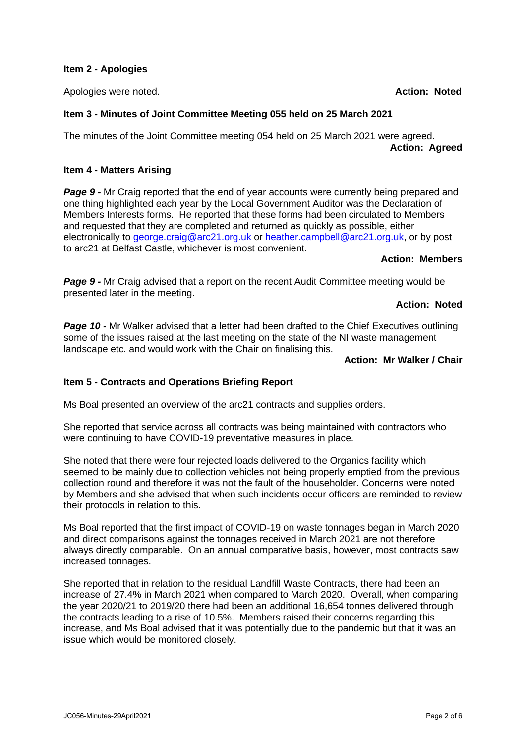## **Item 2 - Apologies**

Apologies were noted. **Action: Noted**

# **Item 3 - Minutes of Joint Committee Meeting 055 held on 25 March 2021**

The minutes of the Joint Committee meeting 054 held on 25 March 2021 were agreed. **Action: Agreed**

## **Item 4 - Matters Arising**

**Page 9 -** Mr Craig reported that the end of year accounts were currently being prepared and one thing highlighted each year by the Local Government Auditor was the Declaration of Members Interests forms. He reported that these forms had been circulated to Members and requested that they are completed and returned as quickly as possible, either electronically to [george.craig@arc21.org.uk](mailto:george.craig@arc21.org.uk) or [heather.campbell@arc21.org.uk,](mailto:heather.campbell@arc21.org.uk) or by post to arc21 at Belfast Castle, whichever is most convenient.

## **Action: Members**

**Page 9 -** Mr Craig advised that a report on the recent Audit Committee meeting would be presented later in the meeting.

## **Action: Noted**

**Page 10 -** Mr Walker advised that a letter had been drafted to the Chief Executives outlining some of the issues raised at the last meeting on the state of the NI waste management landscape etc. and would work with the Chair on finalising this.

## **Action: Mr Walker / Chair**

# **Item 5 - Contracts and Operations Briefing Report**

Ms Boal presented an overview of the arc21 contracts and supplies orders.

She reported that service across all contracts was being maintained with contractors who were continuing to have COVID-19 preventative measures in place.

She noted that there were four rejected loads delivered to the Organics facility which seemed to be mainly due to collection vehicles not being properly emptied from the previous collection round and therefore it was not the fault of the householder. Concerns were noted by Members and she advised that when such incidents occur officers are reminded to review their protocols in relation to this.

Ms Boal reported that the first impact of COVID-19 on waste tonnages began in March 2020 and direct comparisons against the tonnages received in March 2021 are not therefore always directly comparable. On an annual comparative basis, however, most contracts saw increased tonnages.

She reported that in relation to the residual Landfill Waste Contracts, there had been an increase of 27.4% in March 2021 when compared to March 2020. Overall, when comparing the year 2020/21 to 2019/20 there had been an additional 16,654 tonnes delivered through the contracts leading to a rise of 10.5%. Members raised their concerns regarding this increase, and Ms Boal advised that it was potentially due to the pandemic but that it was an issue which would be monitored closely.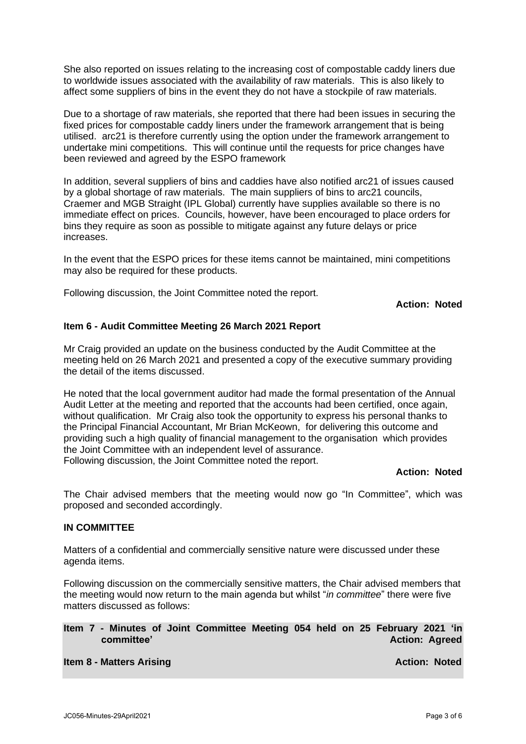She also reported on issues relating to the increasing cost of compostable caddy liners due to worldwide issues associated with the availability of raw materials. This is also likely to affect some suppliers of bins in the event they do not have a stockpile of raw materials.

Due to a shortage of raw materials, she reported that there had been issues in securing the fixed prices for compostable caddy liners under the framework arrangement that is being utilised. arc21 is therefore currently using the option under the framework arrangement to undertake mini competitions. This will continue until the requests for price changes have been reviewed and agreed by the ESPO framework

In addition, several suppliers of bins and caddies have also notified arc21 of issues caused by a global shortage of raw materials. The main suppliers of bins to arc21 councils, Craemer and MGB Straight (IPL Global) currently have supplies available so there is no immediate effect on prices. Councils, however, have been encouraged to place orders for bins they require as soon as possible to mitigate against any future delays or price increases.

In the event that the ESPO prices for these items cannot be maintained, mini competitions may also be required for these products.

Following discussion, the Joint Committee noted the report.

**Action: Noted**

## **Item 6 - Audit Committee Meeting 26 March 2021 Report**

Mr Craig provided an update on the business conducted by the Audit Committee at the meeting held on 26 March 2021 and presented a copy of the executive summary providing the detail of the items discussed.

He noted that the local government auditor had made the formal presentation of the Annual Audit Letter at the meeting and reported that the accounts had been certified, once again, without qualification. Mr Craig also took the opportunity to express his personal thanks to the Principal Financial Accountant, Mr Brian McKeown, for delivering this outcome and providing such a high quality of financial management to the organisation which provides the Joint Committee with an independent level of assurance. Following discussion, the Joint Committee noted the report.

#### **Action: Noted**

The Chair advised members that the meeting would now go "In Committee", which was proposed and seconded accordingly.

#### **IN COMMITTEE**

Matters of a confidential and commercially sensitive nature were discussed under these agenda items.

Following discussion on the commercially sensitive matters, the Chair advised members that the meeting would now return to the main agenda but whilst "*in committee*" there were five matters discussed as follows:

## **Item 7 - Minutes of Joint Committee Meeting 054 held on 25 February 2021 'in committee'** Action: Agreed

#### **Item 8 - Matters Arising Action: Noted**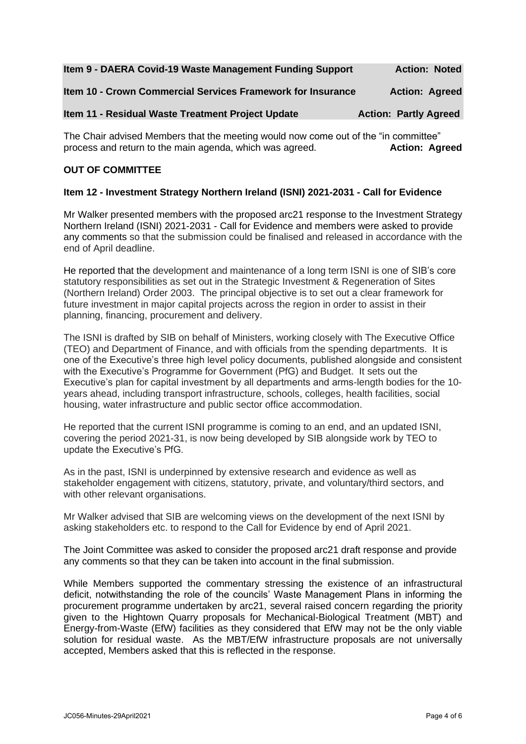| Item 9 - DAERA Covid-19 Waste Management Funding Support    | <b>Action: Noted</b>         |
|-------------------------------------------------------------|------------------------------|
| Item 10 - Crown Commercial Services Framework for Insurance | <b>Action: Agreed</b>        |
| Item 11 - Residual Waste Treatment Project Update           | <b>Action: Partly Agreed</b> |

The Chair advised Members that the meeting would now come out of the "in committee" process and return to the main agenda, which was agreed. **Action: Agreed**

## **OUT OF COMMITTEE**

## **Item 12 - Investment Strategy Northern Ireland (ISNI) 2021-2031 - Call for Evidence**

Mr Walker presented members with the proposed arc21 response to the Investment Strategy Northern Ireland (ISNI) 2021-2031 - Call for Evidence and members were asked to provide any comments so that the submission could be finalised and released in accordance with the end of April deadline.

He reported that the development and maintenance of a long term ISNI is one of SIB's core statutory responsibilities as set out in the Strategic Investment & Regeneration of Sites (Northern Ireland) Order 2003. The principal objective is to set out a clear framework for future investment in major capital projects across the region in order to assist in their planning, financing, procurement and delivery.

The ISNI is drafted by SIB on behalf of Ministers, working closely with The Executive Office (TEO) and Department of Finance, and with officials from the spending departments. It is one of the Executive's three high level policy documents, published alongside and consistent with the Executive's Programme for Government (PfG) and Budget. It sets out the Executive's plan for capital investment by all departments and arms-length bodies for the 10 years ahead, including transport infrastructure, schools, colleges, health facilities, social housing, water infrastructure and public sector office accommodation.

He reported that the current ISNI programme is coming to an end, and an updated ISNI, covering the period 2021-31, is now being developed by SIB alongside work by TEO to update the Executive's PfG.

As in the past, ISNI is underpinned by extensive research and evidence as well as stakeholder engagement with citizens, statutory, private, and voluntary/third sectors, and with other relevant organisations.

Mr Walker advised that SIB are welcoming views on the development of the next ISNI by asking stakeholders etc. to respond to the Call for Evidence by end of April 2021.

The Joint Committee was asked to consider the proposed arc21 draft response and provide any comments so that they can be taken into account in the final submission.

While Members supported the commentary stressing the existence of an infrastructural deficit, notwithstanding the role of the councils' Waste Management Plans in informing the procurement programme undertaken by arc21, several raised concern regarding the priority given to the Hightown Quarry proposals for Mechanical-Biological Treatment (MBT) and Energy-from-Waste (EfW) facilities as they considered that EfW may not be the only viable solution for residual waste. As the MBT/EfW infrastructure proposals are not universally accepted, Members asked that this is reflected in the response.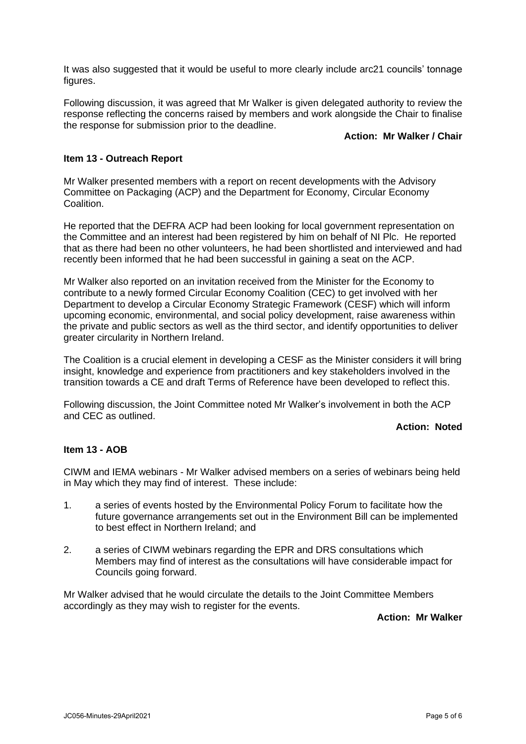It was also suggested that it would be useful to more clearly include arc21 councils' tonnage figures.

Following discussion, it was agreed that Mr Walker is given delegated authority to review the response reflecting the concerns raised by members and work alongside the Chair to finalise the response for submission prior to the deadline.

#### **Action: Mr Walker / Chair**

# **Item 13 - Outreach Report**

Mr Walker presented members with a report on recent developments with the Advisory Committee on Packaging (ACP) and the Department for Economy, Circular Economy Coalition.

He reported that the DEFRA ACP had been looking for local government representation on the Committee and an interest had been registered by him on behalf of NI Plc. He reported that as there had been no other volunteers, he had been shortlisted and interviewed and had recently been informed that he had been successful in gaining a seat on the ACP.

Mr Walker also reported on an invitation received from the Minister for the Economy to contribute to a newly formed Circular Economy Coalition (CEC) to get involved with her Department to develop a Circular Economy Strategic Framework (CESF) which will inform upcoming economic, environmental, and social policy development, raise awareness within the private and public sectors as well as the third sector, and identify opportunities to deliver greater circularity in Northern Ireland.

The Coalition is a crucial element in developing a CESF as the Minister considers it will bring insight, knowledge and experience from practitioners and key stakeholders involved in the transition towards a CE and draft Terms of Reference have been developed to reflect this.

Following discussion, the Joint Committee noted Mr Walker's involvement in both the ACP and CEC as outlined.

# **Action: Noted**

# **Item 13 - AOB**

CIWM and IEMA webinars - Mr Walker advised members on a series of webinars being held in May which they may find of interest. These include:

- 1. a series of events hosted by the Environmental Policy Forum to facilitate how the future governance arrangements set out in the Environment Bill can be implemented to best effect in Northern Ireland; and
- 2. a series of CIWM webinars regarding the EPR and DRS consultations which Members may find of interest as the consultations will have considerable impact for Councils going forward.

Mr Walker advised that he would circulate the details to the Joint Committee Members accordingly as they may wish to register for the events.

**Action: Mr Walker**